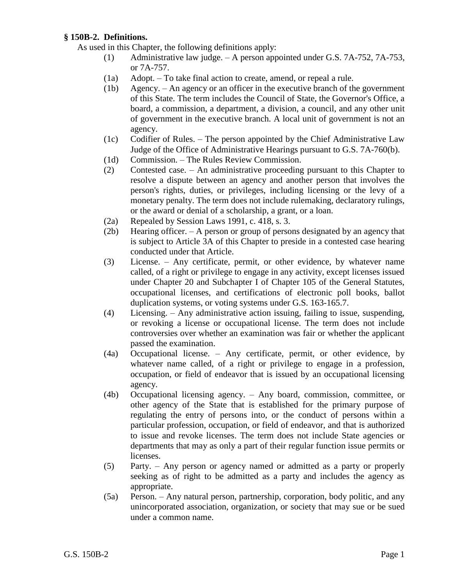## **§ 150B-2. Definitions.**

As used in this Chapter, the following definitions apply:

- (1) Administrative law judge. A person appointed under G.S. 7A-752, 7A-753, or 7A-757.
- (1a) Adopt. To take final action to create, amend, or repeal a rule.
- (1b) Agency. An agency or an officer in the executive branch of the government of this State. The term includes the Council of State, the Governor's Office, a board, a commission, a department, a division, a council, and any other unit of government in the executive branch. A local unit of government is not an agency.
- (1c) Codifier of Rules. The person appointed by the Chief Administrative Law Judge of the Office of Administrative Hearings pursuant to G.S. 7A-760(b).
- (1d) Commission. The Rules Review Commission.
- (2) Contested case. An administrative proceeding pursuant to this Chapter to resolve a dispute between an agency and another person that involves the person's rights, duties, or privileges, including licensing or the levy of a monetary penalty. The term does not include rulemaking, declaratory rulings, or the award or denial of a scholarship, a grant, or a loan.
- (2a) Repealed by Session Laws 1991, c. 418, s. 3.
- (2b) Hearing officer. A person or group of persons designated by an agency that is subject to Article 3A of this Chapter to preside in a contested case hearing conducted under that Article.
- (3) License. Any certificate, permit, or other evidence, by whatever name called, of a right or privilege to engage in any activity, except licenses issued under Chapter 20 and Subchapter I of Chapter 105 of the General Statutes, occupational licenses, and certifications of electronic poll books, ballot duplication systems, or voting systems under G.S. 163-165.7.
- (4) Licensing. Any administrative action issuing, failing to issue, suspending, or revoking a license or occupational license. The term does not include controversies over whether an examination was fair or whether the applicant passed the examination.
- (4a) Occupational license. Any certificate, permit, or other evidence, by whatever name called, of a right or privilege to engage in a profession, occupation, or field of endeavor that is issued by an occupational licensing agency.
- (4b) Occupational licensing agency. Any board, commission, committee, or other agency of the State that is established for the primary purpose of regulating the entry of persons into, or the conduct of persons within a particular profession, occupation, or field of endeavor, and that is authorized to issue and revoke licenses. The term does not include State agencies or departments that may as only a part of their regular function issue permits or licenses.
- (5) Party. Any person or agency named or admitted as a party or properly seeking as of right to be admitted as a party and includes the agency as appropriate.
- (5a) Person. Any natural person, partnership, corporation, body politic, and any unincorporated association, organization, or society that may sue or be sued under a common name.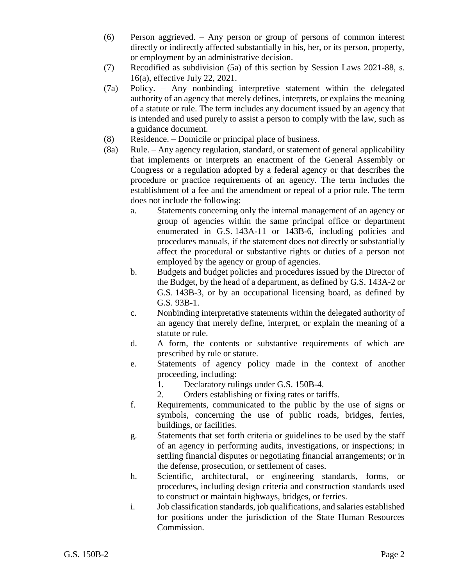- (6) Person aggrieved. Any person or group of persons of common interest directly or indirectly affected substantially in his, her, or its person, property, or employment by an administrative decision.
- (7) Recodified as subdivision (5a) of this section by Session Laws 2021-88, s. 16(a), effective July 22, 2021.
- (7a) Policy. Any nonbinding interpretive statement within the delegated authority of an agency that merely defines, interprets, or explains the meaning of a statute or rule. The term includes any document issued by an agency that is intended and used purely to assist a person to comply with the law, such as a guidance document.
- (8) Residence. Domicile or principal place of business.
- (8a) Rule. Any agency regulation, standard, or statement of general applicability that implements or interprets an enactment of the General Assembly or Congress or a regulation adopted by a federal agency or that describes the procedure or practice requirements of an agency. The term includes the establishment of a fee and the amendment or repeal of a prior rule. The term does not include the following:
	- a. Statements concerning only the internal management of an agency or group of agencies within the same principal office or department enumerated in G.S. 143A-11 or 143B-6, including policies and procedures manuals, if the statement does not directly or substantially affect the procedural or substantive rights or duties of a person not employed by the agency or group of agencies.
	- b. Budgets and budget policies and procedures issued by the Director of the Budget, by the head of a department, as defined by G.S. 143A-2 or G.S. 143B-3, or by an occupational licensing board, as defined by G.S. 93B-1.
	- c. Nonbinding interpretative statements within the delegated authority of an agency that merely define, interpret, or explain the meaning of a statute or rule.
	- d. A form, the contents or substantive requirements of which are prescribed by rule or statute.
	- e. Statements of agency policy made in the context of another proceeding, including:
		- 1. Declaratory rulings under G.S. 150B-4.
		- 2. Orders establishing or fixing rates or tariffs.
	- f. Requirements, communicated to the public by the use of signs or symbols, concerning the use of public roads, bridges, ferries, buildings, or facilities.
	- g. Statements that set forth criteria or guidelines to be used by the staff of an agency in performing audits, investigations, or inspections; in settling financial disputes or negotiating financial arrangements; or in the defense, prosecution, or settlement of cases.
	- h. Scientific, architectural, or engineering standards, forms, or procedures, including design criteria and construction standards used to construct or maintain highways, bridges, or ferries.
	- i. Job classification standards, job qualifications, and salaries established for positions under the jurisdiction of the State Human Resources Commission.